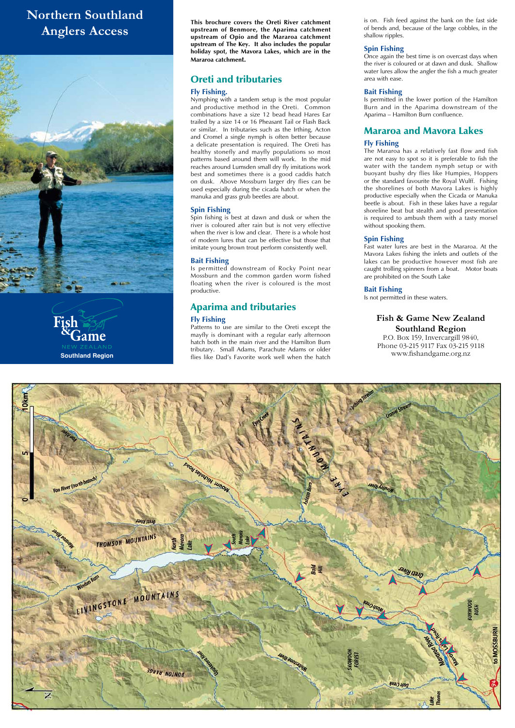# **Fish & Game New Zealand**

**Southland Region** P.O. Box 159, Invercargill 9840, Phone 03-215 9117 Fax 03-215 9118



# **Northern Southland Anglers Access**





**This brochure covers the Oreti River catchment upstream of Benmore, the Aparima catchment upstream of Opio and the Mararoa catchment upstream of The Key. It also includes the popular holiday spot, the Mavora Lakes, which are in the Mararoa catchment.**

### Oreti and tributaries

#### **Fly Fishing.**

Nymphing with a tandem setup is the most popular and productive method in the Oreti. Common combinations have a size 12 bead head Hares Ear trailed by a size 14 or 16 Pheasant Tail or Flash Back or similar. In tributaries such as the Irthing, Acton and Cromel a single nymph is often better because a delicate presentation is required. The Oreti has healthy stonefly and mayfly populations so most patterns based around them will work. In the mid reaches around Lumsden small dry fly imitations work best and sometimes there is a good caddis hatch on dusk. Above Mossburn larger dry flies can be used especially during the cicada hatch or when the manuka and grass grub beetles are about.

**Southland Region Southland Region State of the United States** is the set of the set of the set of the work well when the hatch **WWW.fishandgame.org.nz** Patterns to use are similar to the Oreti except the mayfly is dominant with a regular early afternoon hatch both in the main river and the Hamilton Burn tributary. Small Adams, Parachute Adams or older

#### **Spin Fishing**

Spin fishing is best at dawn and dusk or when the river is coloured after rain but is not very effective when the river is low and clear. There is a whole host of modern lures that can be effective but those that imitate young brown trout perform consistently well.

#### **Bait Fishing**

Is permitted downstream of Rocky Point near Mossburn and the common garden worm fished floating when the river is coloured is the most productive.

## Aparima and tributaries

#### **Fly Fishing**

is on. Fish feed against the bank on the fast side of bends and, because of the large cobbles, in the shallow ripples.

#### **Spin Fishing**

Once again the best time is on overcast days when the river is coloured or at dawn and dusk. Shallow water lures allow the angler the fish a much greater area with ease.

#### **Bait Fishing**

Is permitted in the lower portion of the Hamilton Burn and in the Aparima downstream of the Aparima – Hamilton Burn confluence.

## Mararoa and Mavora Lakes

#### **Fly Fishing**

The Mararoa has a relatively fast flow and fish are not easy to spot so it is preferable to fish the water with the tandem nymph setup or with buoyant bushy dry flies like Humpies, Hoppers or the standard favourite the Royal Wulff. Fishing the shorelines of both Mavora Lakes is highly productive especially when the Cicada or Manuka beetle is about. Fish in these lakes have a regular shoreline beat but stealth and good presentation is required to ambush them with a tasty morsel without spooking them.

#### **Spin Fishing**

Fast water lures are best in the Mararoa. At the Mavora Lakes fishing the inlets and outlets of the lakes can be productive however most fish are caught trolling spinners from a boat. Motor boats are prohibited on the South Lake

#### **Bait Fishing**

Is not permitted in these waters.